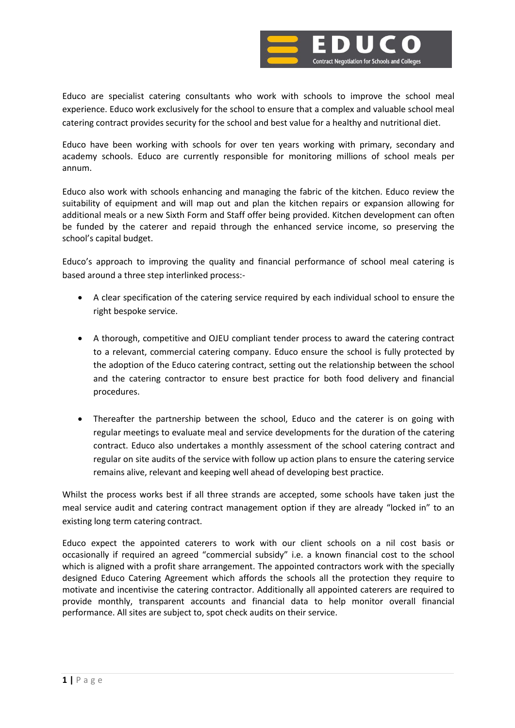

Educo are specialist catering consultants who work with schools to improve the school meal experience. Educo work exclusively for the school to ensure that a complex and valuable school meal catering contract provides security for the school and best value for a healthy and nutritional diet.

Educo have been working with schools for over ten years working with primary, secondary and academy schools. Educo are currently responsible for monitoring millions of school meals per annum.

Educo also work with schools enhancing and managing the fabric of the kitchen. Educo review the suitability of equipment and will map out and plan the kitchen repairs or expansion allowing for additional meals or a new Sixth Form and Staff offer being provided. Kitchen development can often be funded by the caterer and repaid through the enhanced service income, so preserving the school's capital budget.

Educo's approach to improving the quality and financial performance of school meal catering is based around a three step interlinked process:-

- A clear specification of the catering service required by each individual school to ensure the right bespoke service.
- A thorough, competitive and OJEU compliant tender process to award the catering contract to a relevant, commercial catering company. Educo ensure the school is fully protected by the adoption of the Educo catering contract, setting out the relationship between the school and the catering contractor to ensure best practice for both food delivery and financial procedures.
- Thereafter the partnership between the school, Educo and the caterer is on going with regular meetings to evaluate meal and service developments for the duration of the catering contract. Educo also undertakes a monthly assessment of the school catering contract and regular on site audits of the service with follow up action plans to ensure the catering service remains alive, relevant and keeping well ahead of developing best practice.

Whilst the process works best if all three strands are accepted, some schools have taken just the meal service audit and catering contract management option if they are already "locked in" to an existing long term catering contract.

Educo expect the appointed caterers to work with our client schools on a nil cost basis or occasionally if required an agreed "commercial subsidy" i.e. a known financial cost to the school which is aligned with a profit share arrangement. The appointed contractors work with the specially designed Educo Catering Agreement which affords the schools all the protection they require to motivate and incentivise the catering contractor. Additionally all appointed caterers are required to provide monthly, transparent accounts and financial data to help monitor overall financial performance. All sites are subject to, spot check audits on their service.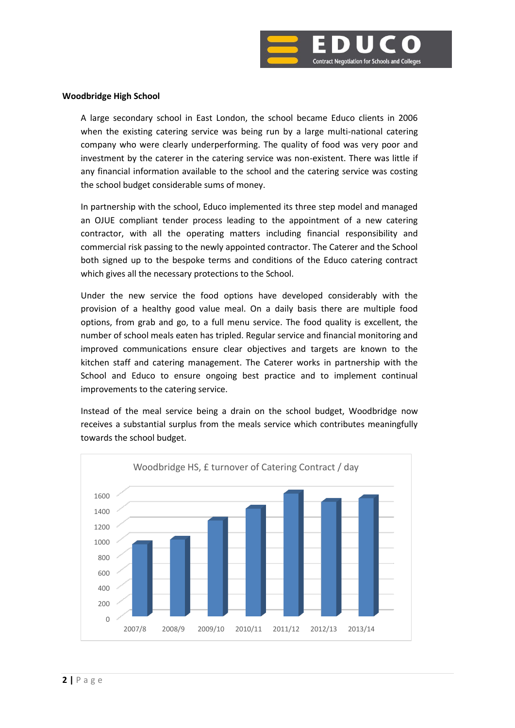

## **Woodbridge High School**

A large secondary school in East London, the school became Educo clients in 2006 when the existing catering service was being run by a large multi-national catering company who were clearly underperforming. The quality of food was very poor and investment by the caterer in the catering service was non-existent. There was little if any financial information available to the school and the catering service was costing the school budget considerable sums of money.

In partnership with the school, Educo implemented its three step model and managed an OJUE compliant tender process leading to the appointment of a new catering contractor, with all the operating matters including financial responsibility and commercial risk passing to the newly appointed contractor. The Caterer and the School both signed up to the bespoke terms and conditions of the Educo catering contract which gives all the necessary protections to the School.

Under the new service the food options have developed considerably with the provision of a healthy good value meal. On a daily basis there are multiple food options, from grab and go, to a full menu service. The food quality is excellent, the number of school meals eaten has tripled. Regular service and financial monitoring and improved communications ensure clear objectives and targets are known to the kitchen staff and catering management. The Caterer works in partnership with the School and Educo to ensure ongoing best practice and to implement continual improvements to the catering service.

Instead of the meal service being a drain on the school budget, Woodbridge now receives a substantial surplus from the meals service which contributes meaningfully towards the school budget.

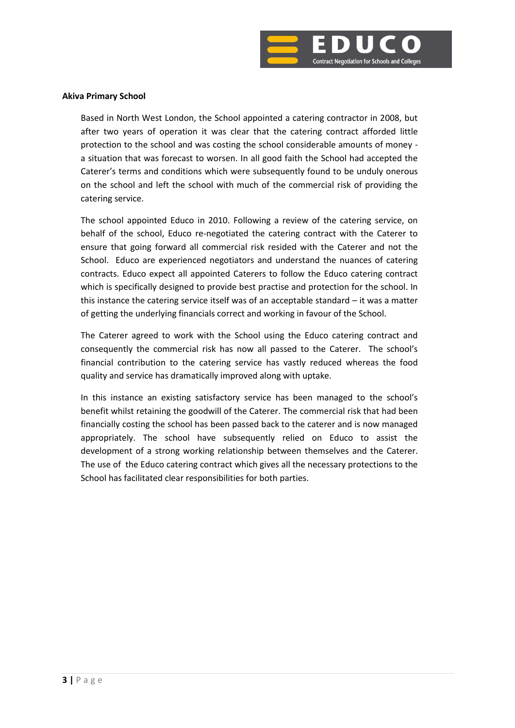

## **Akiva Primary School**

Based in North West London, the School appointed a catering contractor in 2008, but after two years of operation it was clear that the catering contract afforded little protection to the school and was costing the school considerable amounts of money a situation that was forecast to worsen. In all good faith the School had accepted the Caterer's terms and conditions which were subsequently found to be unduly onerous on the school and left the school with much of the commercial risk of providing the catering service.

The school appointed Educo in 2010. Following a review of the catering service, on behalf of the school, Educo re-negotiated the catering contract with the Caterer to ensure that going forward all commercial risk resided with the Caterer and not the School. Educo are experienced negotiators and understand the nuances of catering contracts. Educo expect all appointed Caterers to follow the Educo catering contract which is specifically designed to provide best practise and protection for the school. In this instance the catering service itself was of an acceptable standard – it was a matter of getting the underlying financials correct and working in favour of the School.

The Caterer agreed to work with the School using the Educo catering contract and consequently the commercial risk has now all passed to the Caterer. The school's financial contribution to the catering service has vastly reduced whereas the food quality and service has dramatically improved along with uptake.

In this instance an existing satisfactory service has been managed to the school's benefit whilst retaining the goodwill of the Caterer. The commercial risk that had been financially costing the school has been passed back to the caterer and is now managed appropriately. The school have subsequently relied on Educo to assist the development of a strong working relationship between themselves and the Caterer. The use of the Educo catering contract which gives all the necessary protections to the School has facilitated clear responsibilities for both parties.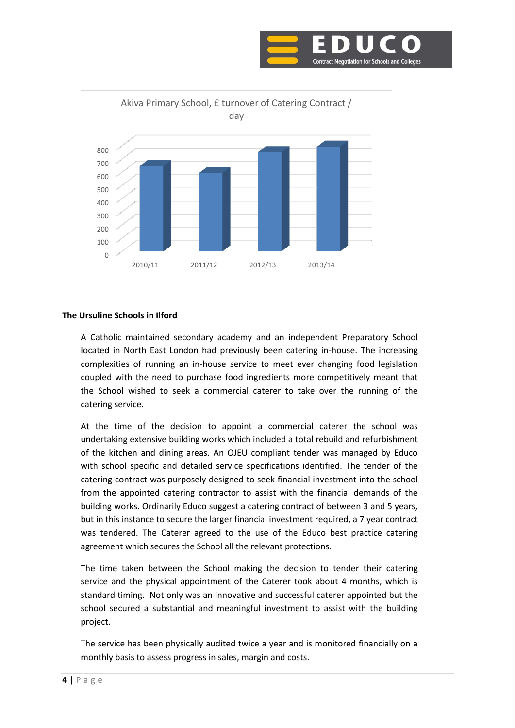



## **The Ursuline Schools in Ilford**

A Catholic maintained secondary academy and an independent Preparatory School located in North East London had previously been catering in-house. The increasing complexities of running an in-house service to meet ever changing food legislation coupled with the need to purchase food ingredients more competitively meant that the School wished to seek a commercial caterer to take over the running of the catering service.

At the time of the decision to appoint a commercial caterer the school was undertaking extensive building works which included a total rebuild and refurbishment of the kitchen and dining areas. An OJEU compliant tender was managed by Educo with school specific and detailed service specifications identified. The tender of the catering contract was purposely designed to seek financial investment into the school from the appointed catering contractor to assist with the financial demands of the building works. Ordinarily Educo suggest a catering contract of between 3 and 5 years, but in this instance to secure the larger financial investment required, a 7 year contract was tendered. The Caterer agreed to the use of the Educo best practice catering agreement which secures the School all the relevant protections.

The time taken between the School making the decision to tender their catering service and the physical appointment of the Caterer took about 4 months, which is standard timing. Not only was an innovative and successful caterer appointed but the school secured a substantial and meaningful investment to assist with the building project.

The service has been physically audited twice a year and is monitored financially on a monthly basis to assess progress in sales, margin and costs.